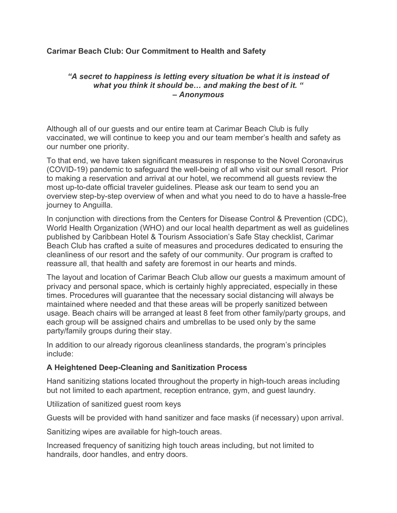# Carimar Beach Club: Our Commitment to Health and Safety

## "A secret to happiness is letting every situation be what it is instead of what you think it should be... and making the best of it. " – Anonymous

Although all of our guests and our entire team at Carimar Beach Club is fully vaccinated, we will continue to keep you and our team member's health and safety as our number one priority.

To that end, we have taken significant measures in response to the Novel Coronavirus (COVID-19) pandemic to safeguard the well-being of all who visit our small resort. Prior to making a reservation and arrival at our hotel, we recommend all guests review the most up-to-date official traveler guidelines. Please ask our team to send you an overview step-by-step overview of when and what you need to do to have a hassle-free journey to Anguilla.

In conjunction with directions from the Centers for Disease Control & Prevention (CDC), World Health Organization (WHO) and our local health department as well as guidelines published by Caribbean Hotel & Tourism Association's Safe Stay checklist, Carimar Beach Club has crafted a suite of measures and procedures dedicated to ensuring the cleanliness of our resort and the safety of our community. Our program is crafted to reassure all, that health and safety are foremost in our hearts and minds.

The layout and location of Carimar Beach Club allow our guests a maximum amount of privacy and personal space, which is certainly highly appreciated, especially in these times. Procedures will guarantee that the necessary social distancing will always be maintained where needed and that these areas will be properly sanitized between usage. Beach chairs will be arranged at least 8 feet from other family/party groups, and each group will be assigned chairs and umbrellas to be used only by the same party/family groups during their stay.

In addition to our already rigorous cleanliness standards, the program's principles include:

# A Heightened Deep-Cleaning and Sanitization Process

Hand sanitizing stations located throughout the property in high-touch areas including but not limited to each apartment, reception entrance, gym, and guest laundry.

Utilization of sanitized guest room keys

Guests will be provided with hand sanitizer and face masks (if necessary) upon arrival.

Sanitizing wipes are available for high-touch areas.

Increased frequency of sanitizing high touch areas including, but not limited to handrails, door handles, and entry doors.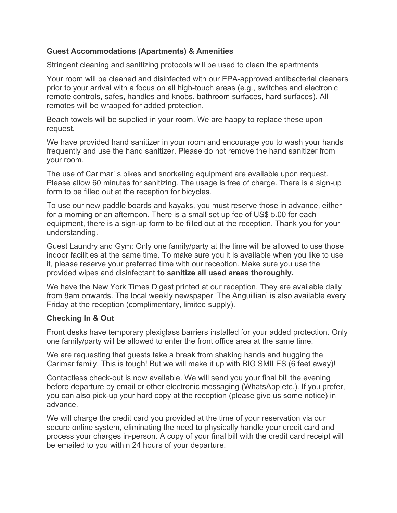## Guest Accommodations (Apartments) & Amenities

Stringent cleaning and sanitizing protocols will be used to clean the apartments

Your room will be cleaned and disinfected with our EPA-approved antibacterial cleaners prior to your arrival with a focus on all high-touch areas (e.g., switches and electronic remote controls, safes, handles and knobs, bathroom surfaces, hard surfaces). All remotes will be wrapped for added protection.

Beach towels will be supplied in your room. We are happy to replace these upon request.

We have provided hand sanitizer in your room and encourage you to wash your hands frequently and use the hand sanitizer. Please do not remove the hand sanitizer from your room.

The use of Carimar' s bikes and snorkeling equipment are available upon request. Please allow 60 minutes for sanitizing. The usage is free of charge. There is a sign-up form to be filled out at the reception for bicycles.

To use our new paddle boards and kayaks, you must reserve those in advance, either for a morning or an afternoon. There is a small set up fee of US\$ 5.00 for each equipment, there is a sign-up form to be filled out at the reception. Thank you for your understanding.

Guest Laundry and Gym: Only one family/party at the time will be allowed to use those indoor facilities at the same time. To make sure you it is available when you like to use it, please reserve your preferred time with our reception. Make sure you use the provided wipes and disinfectant to sanitize all used areas thoroughly.

We have the New York Times Digest printed at our reception. They are available daily from 8am onwards. The local weekly newspaper 'The Anguillian' is also available every Friday at the reception (complimentary, limited supply).

#### Checking In & Out

Front desks have temporary plexiglass barriers installed for your added protection. Only one family/party will be allowed to enter the front office area at the same time.

We are requesting that guests take a break from shaking hands and hugging the Carimar family. This is tough! But we will make it up with BIG SMILES (6 feet away)!

Contactless check-out is now available. We will send you your final bill the evening before departure by email or other electronic messaging (WhatsApp etc.). If you prefer, you can also pick-up your hard copy at the reception (please give us some notice) in advance.

We will charge the credit card you provided at the time of your reservation via our secure online system, eliminating the need to physically handle your credit card and process your charges in-person. A copy of your final bill with the credit card receipt will be emailed to you within 24 hours of your departure.